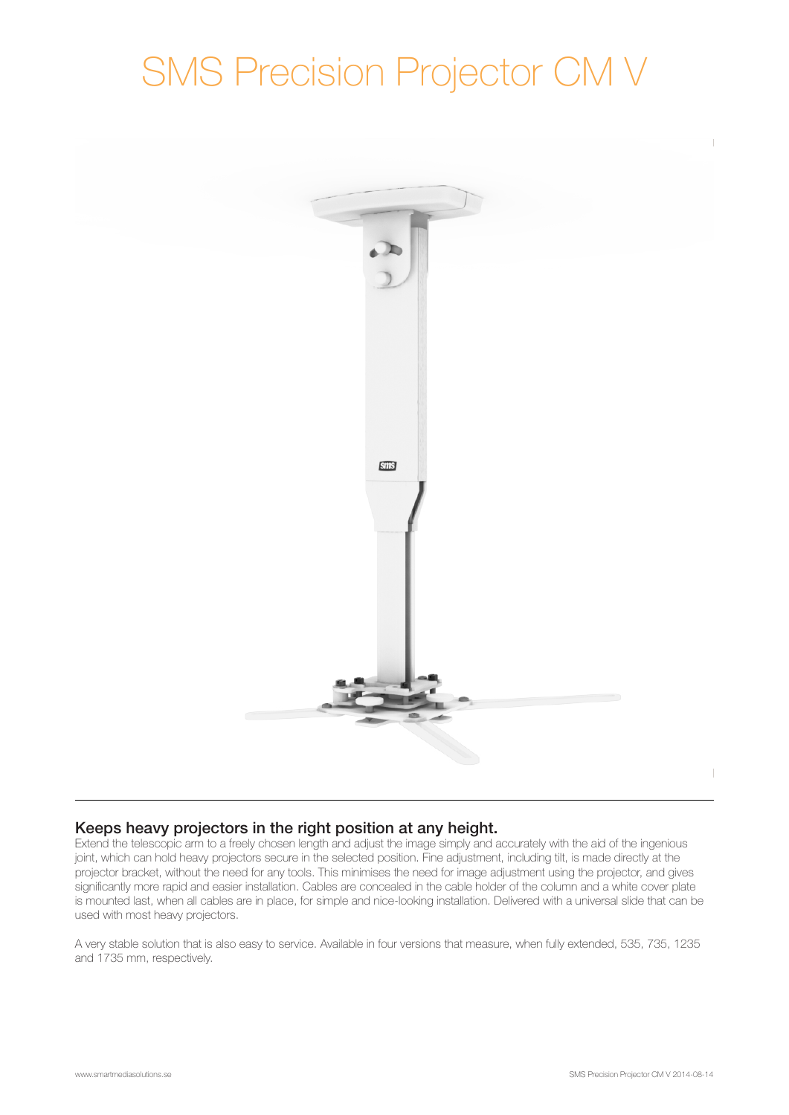# SMS Precision Projector CM V



# Keeps heavy projectors in the right position at any height.

Extend the telescopic arm to a freely chosen length and adjust the image simply and accurately with the aid of the ingenious joint, which can hold heavy projectors secure in the selected position. Fine adjustment, including tilt, is made directly at the projector bracket, without the need for any tools. This minimises the need for image adjustment using the projector, and gives significantly more rapid and easier installation. Cables are concealed in the cable holder of the column and a white cover plate is mounted last, when all cables are in place, for simple and nice-looking installation. Delivered with a universal slide that can be used with most heavy projectors.

A very stable solution that is also easy to service. Available in four versions that measure, when fully extended, 535, 735, 1235 and 1735 mm, respectively.